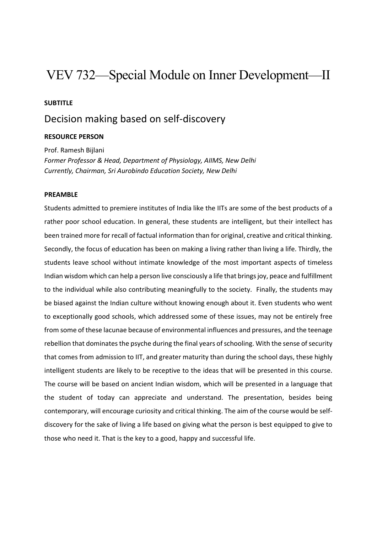# VEV 732—Special Module on Inner Development—II

### **SUBTITLE**

# Decision making based on self‐discovery

### **RESOURCE PERSON**

Prof. Ramesh Bijlani *Former Professor & Head, Department of Physiology, AIIMS, New Delhi Currently, Chairman, Sri Aurobindo Education Society, New Delhi* 

#### **PREAMBLE**

Students admitted to premiere institutes of India like the IITs are some of the best products of a rather poor school education. In general, these students are intelligent, but their intellect has been trained more for recall of factual information than for original, creative and critical thinking. Secondly, the focus of education has been on making a living rather than living a life. Thirdly, the students leave school without intimate knowledge of the most important aspects of timeless Indian wisdom which can help a person live consciously a life that brings joy, peace and fulfillment to the individual while also contributing meaningfully to the society. Finally, the students may be biased against the Indian culture without knowing enough about it. Even students who went to exceptionally good schools, which addressed some of these issues, may not be entirely free from some of these lacunae because of environmental influences and pressures, and the teenage rebellion that dominates the psyche during the final years of schooling. With the sense of security that comes from admission to IIT, and greater maturity than during the school days, these highly intelligent students are likely to be receptive to the ideas that will be presented in this course. The course will be based on ancient Indian wisdom, which will be presented in a language that the student of today can appreciate and understand. The presentation, besides being contemporary, will encourage curiosity and critical thinking. The aim of the course would be self‐ discovery for the sake of living a life based on giving what the person is best equipped to give to those who need it. That is the key to a good, happy and successful life.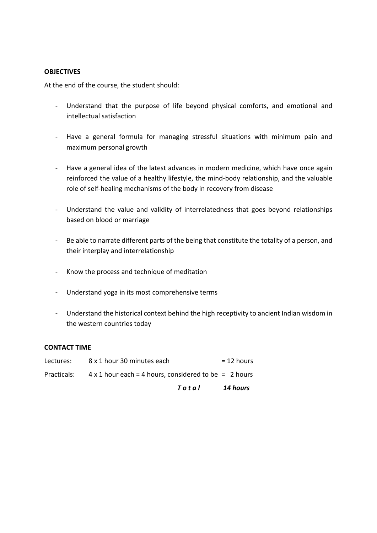### **OBJECTIVES**

At the end of the course, the student should:

- ‐ Understand that the purpose of life beyond physical comforts, and emotional and intellectual satisfaction
- ‐ Have a general formula for managing stressful situations with minimum pain and maximum personal growth
- ‐ Have a general idea of the latest advances in modern medicine, which have once again reinforced the value of a healthy lifestyle, the mind‐body relationship, and the valuable role of self‐healing mechanisms of the body in recovery from disease
- ‐ Understand the value and validity of interrelatedness that goes beyond relationships based on blood or marriage
- ‐ Be able to narrate different parts of the being that constitute the totality of a person, and their interplay and interrelationship
- ‐ Know the process and technique of meditation
- ‐ Understand yoga in its most comprehensive terms
- ‐ Understand the historical context behind the high receptivity to ancient Indian wisdom in the western countries today

#### **CONTACT TIME**

|             | Total                                                        | 14 hours     |
|-------------|--------------------------------------------------------------|--------------|
| Practicals: | $4 \times 1$ hour each = 4 hours, considered to be = 2 hours |              |
| Lectures:   | 8 x 1 hour 30 minutes each                                   | $= 12$ hours |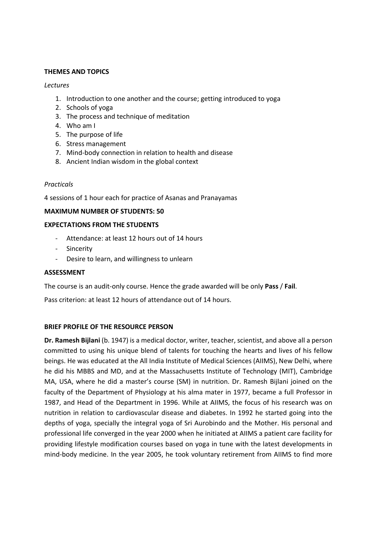# **THEMES AND TOPICS**

## *Lectures*

- 1. Introduction to one another and the course; getting introduced to yoga
- 2. Schools of yoga
- 3. The process and technique of meditation
- 4. Who am I
- 5. The purpose of life
- 6. Stress management
- 7. Mind‐body connection in relation to health and disease
- 8. Ancient Indian wisdom in the global context

# *Practicals*

4 sessions of 1 hour each for practice of Asanas and Pranayamas

# **MAXIMUM NUMBER OF STUDENTS: 50**

# **EXPECTATIONS FROM THE STUDENTS**

- ‐ Attendance: at least 12 hours out of 14 hours
- ‐ Sincerity
- ‐ Desire to learn, and willingness to unlearn

# **ASSESSMENT**

The course is an audit‐only course. Hence the grade awarded will be only **Pass** / **Fail**.

Pass criterion: at least 12 hours of attendance out of 14 hours.

# **BRIEF PROFILE OF THE RESOURCE PERSON**

**Dr. Ramesh Bijlani** (b. 1947) is a medical doctor, writer, teacher, scientist, and above all a person committed to using his unique blend of talents for touching the hearts and lives of his fellow beings. He was educated at the All India Institute of Medical Sciences (AIIMS), New Delhi, where he did his MBBS and MD, and at the Massachusetts Institute of Technology (MIT), Cambridge MA, USA, where he did a master's course (SM) in nutrition. Dr. Ramesh Bijlani joined on the faculty of the Department of Physiology at his alma mater in 1977, became a full Professor in 1987, and Head of the Department in 1996. While at AIIMS, the focus of his research was on nutrition in relation to cardiovascular disease and diabetes. In 1992 he started going into the depths of yoga, specially the integral yoga of Sri Aurobindo and the Mother. His personal and professional life converged in the year 2000 when he initiated at AIIMS a patient care facility for providing lifestyle modification courses based on yoga in tune with the latest developments in mind‐body medicine. In the year 2005, he took voluntary retirement from AIIMS to find more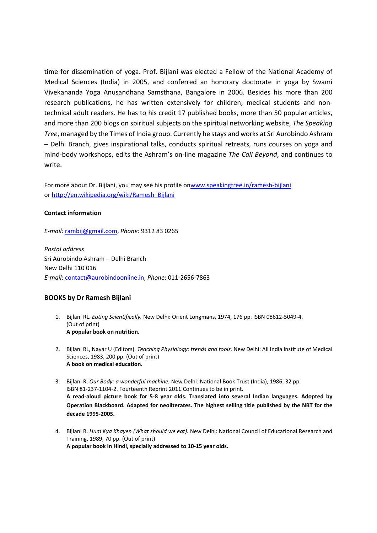time for dissemination of yoga. Prof. Bijlani was elected a Fellow of the National Academy of Medical Sciences (India) in 2005, and conferred an honorary doctorate in yoga by Swami Vivekananda Yoga Anusandhana Samsthana, Bangalore in 2006. Besides his more than 200 research publications, he has written extensively for children, medical students and non‐ technical adult readers. He has to his credit 17 published books, more than 50 popular articles, and more than 200 blogs on spiritual subjects on the spiritual networking website, *The Speaking Tree*, managed by the Times of India group. Currently he stays and works at Sri Aurobindo Ashram – Delhi Branch, gives inspirational talks, conducts spiritual retreats, runs courses on yoga and mind‐body workshops, edits the Ashram's on‐line magazine *The Call Beyond*, and continues to write.

For more about Dr. Bijlani, you may see his profile onwww.speakingtree.in/ramesh‐bijlani or http://en.wikipedia.org/wiki/Ramesh\_Bijlani

#### **Contact information**

*E‐mail:* rambij@gmail.com, *Phone:* 9312 83 0265

*Postal address* Sri Aurobindo Ashram – Delhi Branch New Delhi 110 016 *E‐mail*: contact@aurobindoonline.in, *Phone*: 011‐2656‐7863

#### **BOOKS by Dr Ramesh Bijlani**

- 1. Bijlani RL. *Eating Scientifically.* New Delhi: Orient Longmans, 1974, 176 pp. ISBN 08612‐5049‐4. (Out of print) **A popular book on nutrition.**
- 2. Bijlani RL, Nayar U (Editors). *Teaching Physiology: trends and tools.* New Delhi: All India Institute of Medical Sciences, 1983, 200 pp. (Out of print) **A book on medical education.**
- 3. Bijlani R. *Our Body: a wonderful machine.* New Delhi: National Book Trust (India), 1986, 32 pp. ISBN 81‐237‐1104‐2. Fourteenth Reprint 2011.Continues to be in print. A read-aloud picture book for 5-8 year olds. Translated into several Indian languages. Adopted by **Operation Blackboard. Adapted for neoliterates. The highest selling title published by the NBT for the decade 1995‐2005.**
- 4. Bijlani R. *Hum Kya Khayen (What should we eat).* New Delhi: National Council of Educational Research and Training, 1989, 70 pp. (Out of print) **A popular book in Hindi, specially addressed to 10‐15 year olds.**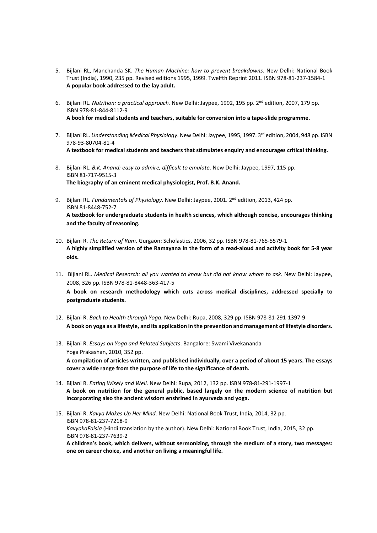- 5. Bijlani RL, Manchanda SK. *The Human Machine: how to prevent breakdowns*. New Delhi: National Book Trust (India), 1990, 235 pp. Revised editions 1995, 1999. Twelfth Reprint 2011. ISBN 978‐81‐237‐1584‐1 **A popular book addressed to the lay adult.**
- 6. Bijlani RL. *Nutrition: a practical approach.* New Delhi: Jaypee, 1992, 195 pp. 2nd edition, 2007, 179 pp. ISBN 978‐81‐844‐8112‐9 **A book for medical students and teachers, suitable for conversion into a tape‐slide programme.**
- 7. Bijlani RL. *Understanding Medical Physiology*. New Delhi: Jaypee, 1995, 1997. 3rd edition, 2004, 948 pp. ISBN 978‐93‐80704‐81‐4 **A textbook for medical students and teachers that stimulates enquiry and encourages critical thinking.**
- 8. Bijlani RL. *B.K. Anand: easy to admire, difficult to emulate*. New Delhi: Jaypee, 1997, 115 pp. ISBN 81‐717‐9515‐3 **The biography of an eminent medical physiologist, Prof. B.K. Anand.**
- 9. Bijlani RL. *Fundamentals of Physiology*. New Delhi: Jaypee, 2001. 2nd edition, 2013, 424 pp. ISBN 81‐8448‐752‐7 **A textbook for undergraduate students in health sciences, which although concise, encourages thinking and the faculty of reasoning.**
- 10. Bijlani R. *The Return of Ram*. Gurgaon: Scholastics, 2006, 32 pp. ISBN 978‐81‐765‐5579‐1 A highly simplified version of the Ramayana in the form of a read-aloud and activity book for 5-8 year **olds.**
- 11. Bijlani RL. *Medical Research: all you wanted to know but did not know whom to ask*. New Delhi: Jaypee, 2008, 326 pp. ISBN 978‐81‐8448‐363‐417‐5 **A book on research methodology which cuts across medical disciplines, addressed specially to**
- **postgraduate students.** 12. Bijlani R. *Back to Health through Yoga*. New Delhi: Rupa, 2008, 329 pp. ISBN 978‐81‐291‐1397‐9
- A book on yoga as a lifestyle, and its application in the prevention and management of lifestyle disorders.
- 13. Bijlani R. *Essays on Yoga and Related Subjects*. Bangalore: Swami Vivekananda Yoga Prakashan, 2010, 352 pp. A compilation of articles written, and published individually, over a period of about 15 years. The essays **cover a wide range from the purpose of life to the significance of death.**
- 14. Bijlani R. *Eating Wisely and Well*. New Delhi: Rupa, 2012, 132 pp. ISBN 978‐81‐291‐1997‐1 **A book on nutrition for the general public, based largely on the modern science of nutrition but incorporating also the ancient wisdom enshrined in ayurveda and yoga.**
- 15. Bijlani R. *Kavya Makes Up Her Mind*. New Delhi: National Book Trust, India, 2014, 32 pp. ISBN 978‐81‐237‐7218‐9 *KavyakaFaisla* (Hindi translation by the author). New Delhi: National Book Trust, India, 2015, 32 pp. ISBN 978‐81‐237‐7639‐2 **A children's book, which delivers, without sermonizing, through the medium of a story, two messages: one on career choice, and another on living a meaningful life.**